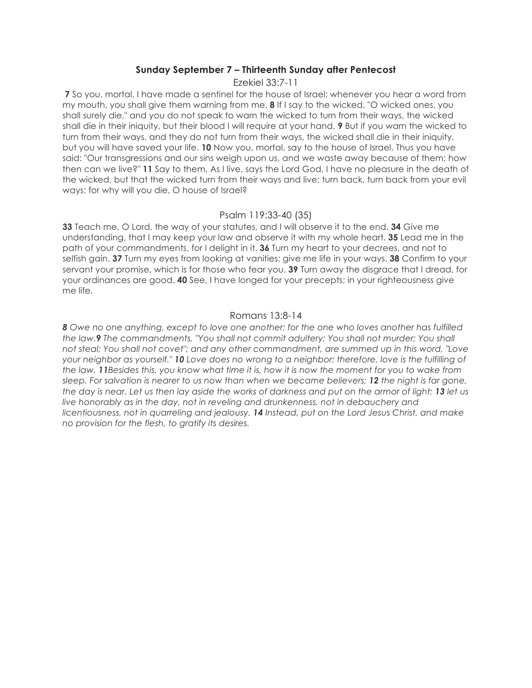## **Sunday September 7 – Thirteenth Sunday after Pentecost**

Ezekiel 33:7-11

**7** So you, mortal, I have made a sentinel for the house of Israel; whenever you hear a word from my mouth, you shall give them warning from me. **8** If I say to the wicked, "O wicked ones, you shall surely die," and you do not speak to warn the wicked to turn from their ways, the wicked shall die in their iniquity, but their blood I will require at your hand. **9** But if you warn the wicked to turn from their ways, and they do not turn from their ways, the wicked shall die in their iniquity, but you will have saved your life. **10** Now you, mortal, say to the house of Israel, Thus you have said: "Our transgressions and our sins weigh upon us, and we waste away because of them; how then can we live?" **11** Say to them, As I live, says the Lord God, I have no pleasure in the death of the wicked, but that the wicked turn from their ways and live; turn back, turn back from your evil ways; for why will you die, O house of Israel?

## Psalm 119:33-40 (35)

**33** Teach me, O Lord, the way of your statutes, and I will observe it to the end. **34** Give me understanding, that I may keep your law and observe it with my whole heart. **35** Lead me in the path of your commandments, for I delight in it. **36** Turn my heart to your decrees, and not to selfish gain. **37** Turn my eyes from looking at vanities; give me life in your ways. **38** Confirm to your servant your promise, which is for those who fear you. **39** Turn away the disgrace that I dread, for your ordinances are good. **40** See, I have longed for your precepts; in your righteousness give me life.

## Romans 13:8-14

*8 Owe no one anything, except to love one another; for the one who loves another has fulfilled the law.9 The commandments, "You shall not commit adultery; You shall not murder; You shall not steal; You shall not covet"; and any other commandment, are summed up in this word, "Love your neighbor as yourself." 10 Love does no wrong to a neighbor; therefore, love is the fulfilling of the law. 11Besides this, you know what time it is, how it is now the moment for you to wake from sleep. For salvation is nearer to us now than when we became believers; 12 the night is far gone, the day is near. Let us then lay aside the works of darkness and put on the armor of light; 13 let us live honorably as in the day, not in reveling and drunkenness, not in debauchery and licentiousness, not in quarreling and jealousy. 14 Instead, put on the Lord Jesus Christ, and make no provision for the flesh, to gratify its desires.*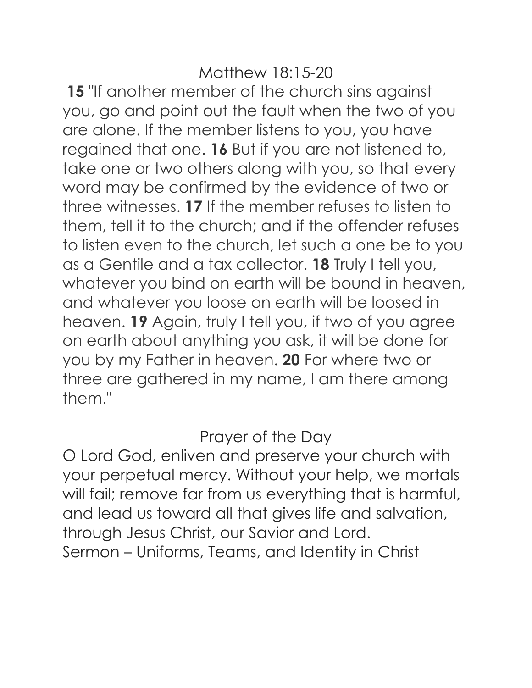**15** "If another member of the church sins against you, go and point out the fault when the two of you are alone. If the member listens to you, you have regained that one. **16** But if you are not listened to, take one or two others along with you, so that every word may be confirmed by the evidence of two or three witnesses. **17** If the member refuses to listen to them, tell it to the church; and if the offender refuses to listen even to the church, let such a one be to you as a Gentile and a tax collector. **18** Truly I tell you, whatever you bind on earth will be bound in heaven, and whatever you loose on earth will be loosed in heaven. **19** Again, truly I tell you, if two of you agree on earth about anything you ask, it will be done for you by my Father in heaven. **20** For where two or three are gathered in my name, I am there among them."

## Prayer of the Day

O Lord God, enliven and preserve your church with your perpetual mercy. Without your help, we mortals will fail; remove far from us everything that is harmful, and lead us toward all that gives life and salvation, through Jesus Christ, our Savior and Lord. Sermon – Uniforms, Teams, and Identity in Christ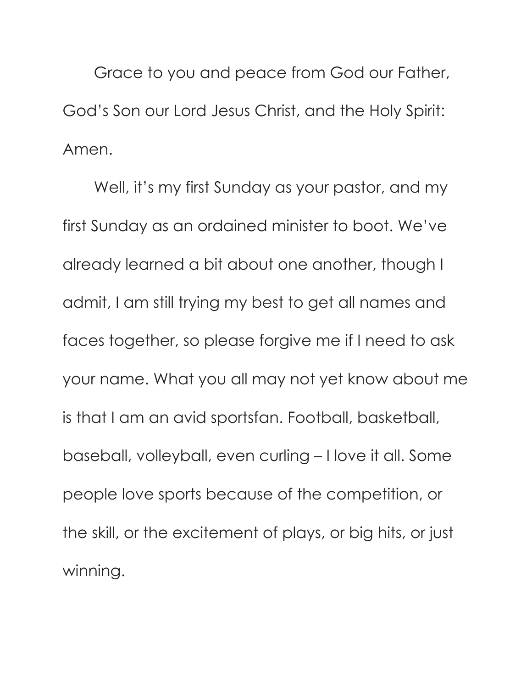Grace to you and peace from God our Father, God's Son our Lord Jesus Christ, and the Holy Spirit: Amen.

Well, it's my first Sunday as your pastor, and my first Sunday as an ordained minister to boot. We've already learned a bit about one another, though I admit, I am still trying my best to get all names and faces together, so please forgive me if I need to ask your name. What you all may not yet know about me is that I am an avid sportsfan. Football, basketball, baseball, volleyball, even curling – I love it all. Some people love sports because of the competition, or the skill, or the excitement of plays, or big hits, or just winning.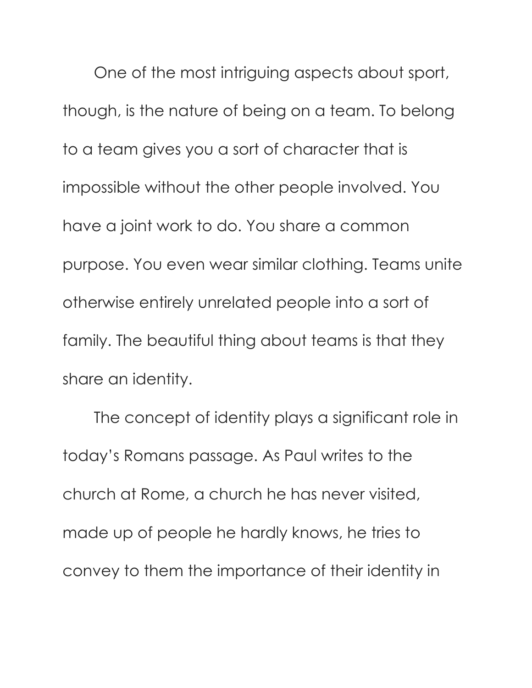One of the most intriguing aspects about sport, though, is the nature of being on a team. To belong to a team gives you a sort of character that is impossible without the other people involved. You have a joint work to do. You share a common purpose. You even wear similar clothing. Teams unite otherwise entirely unrelated people into a sort of family. The beautiful thing about teams is that they share an identity.

The concept of identity plays a significant role in today's Romans passage. As Paul writes to the church at Rome, a church he has never visited, made up of people he hardly knows, he tries to convey to them the importance of their identity in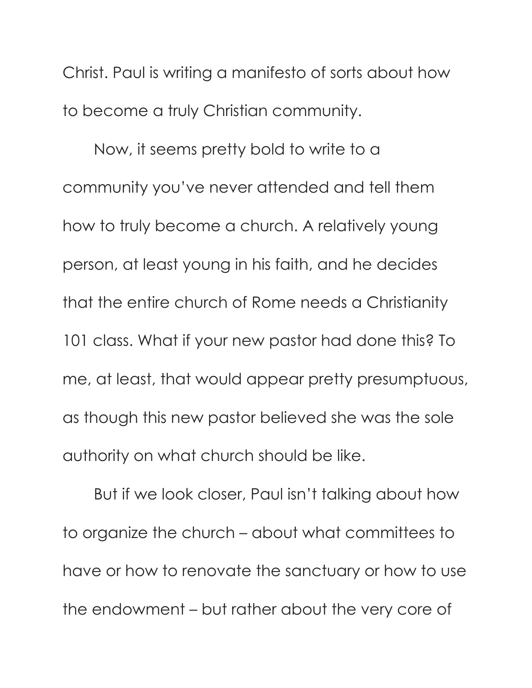Christ. Paul is writing a manifesto of sorts about how to become a truly Christian community.

Now, it seems pretty bold to write to a community you've never attended and tell them how to truly become a church. A relatively young person, at least young in his faith, and he decides that the entire church of Rome needs a Christianity 101 class. What if your new pastor had done this? To me, at least, that would appear pretty presumptuous, as though this new pastor believed she was the sole authority on what church should be like.

But if we look closer, Paul isn't talking about how to organize the church – about what committees to have or how to renovate the sanctuary or how to use the endowment – but rather about the very core of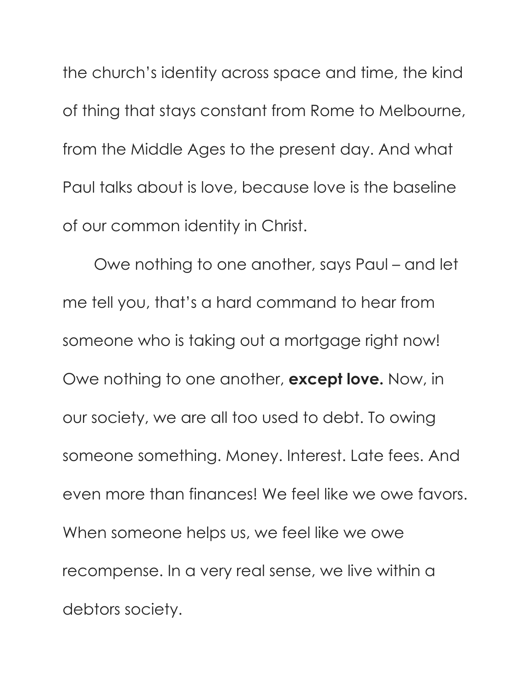the church's identity across space and time, the kind of thing that stays constant from Rome to Melbourne, from the Middle Ages to the present day. And what Paul talks about is love, because love is the baseline of our common identity in Christ.

Owe nothing to one another, says Paul – and let me tell you, that's a hard command to hear from someone who is taking out a mortgage right now! Owe nothing to one another, **except love.** Now, in our society, we are all too used to debt. To owing someone something. Money. Interest. Late fees. And even more than finances! We feel like we owe favors. When someone helps us, we feel like we owe recompense. In a very real sense, we live within a debtors society.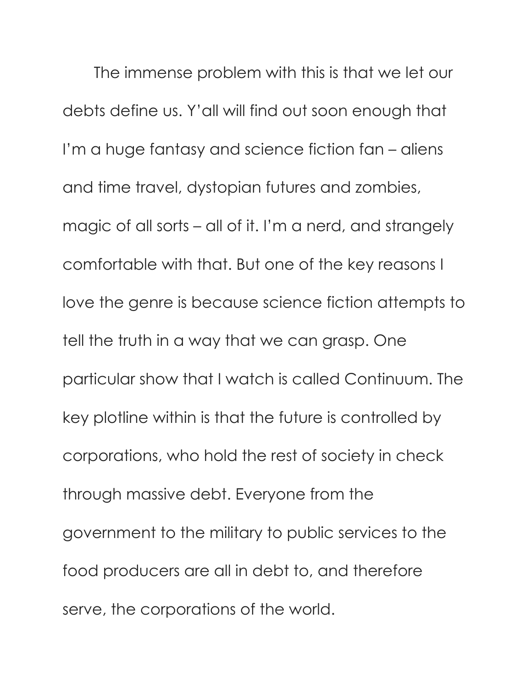The immense problem with this is that we let our debts define us. Y'all will find out soon enough that I'm a huge fantasy and science fiction fan – aliens and time travel, dystopian futures and zombies, magic of all sorts – all of it. I'm a nerd, and strangely comfortable with that. But one of the key reasons I love the genre is because science fiction attempts to tell the truth in a way that we can grasp. One particular show that I watch is called Continuum. The key plotline within is that the future is controlled by corporations, who hold the rest of society in check through massive debt. Everyone from the government to the military to public services to the food producers are all in debt to, and therefore serve, the corporations of the world.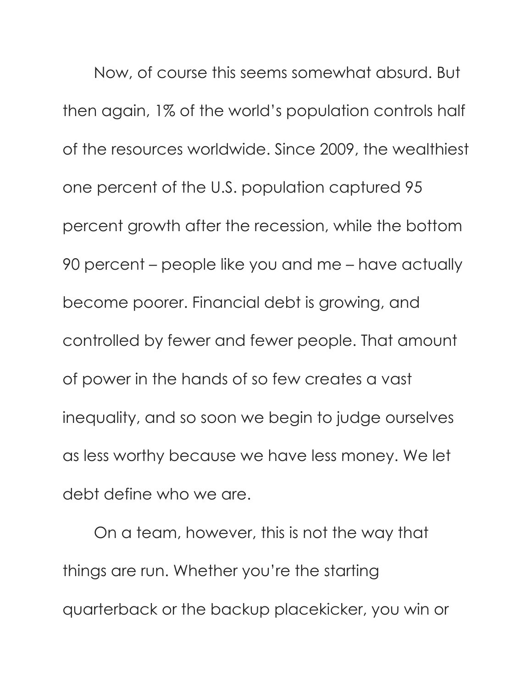Now, of course this seems somewhat absurd. But then again, 1% of the world's population controls half of the resources worldwide. Since 2009, the wealthiest one percent of the U.S. population captured 95 percent growth after the recession, while the bottom 90 percent – people like you and me – have actually become poorer. Financial debt is growing, and controlled by fewer and fewer people. That amount of power in the hands of so few creates a vast inequality, and so soon we begin to judge ourselves as less worthy because we have less money. We let debt define who we are.

On a team, however, this is not the way that things are run. Whether you're the starting quarterback or the backup placekicker, you win or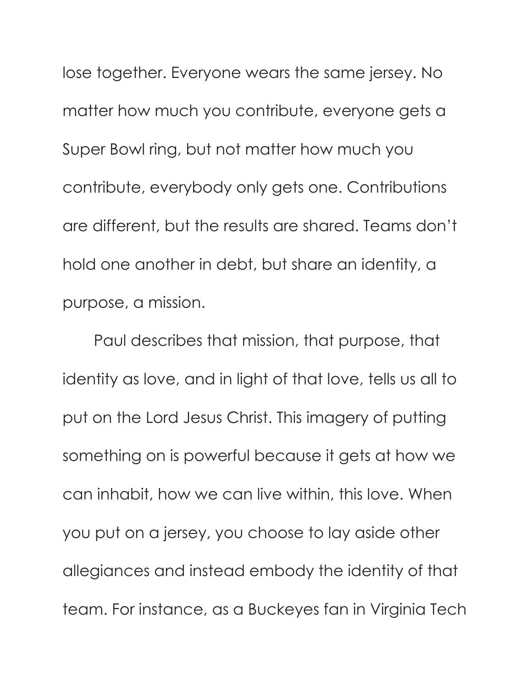lose together. Everyone wears the same jersey. No matter how much you contribute, everyone gets a Super Bowl ring, but not matter how much you contribute, everybody only gets one. Contributions are different, but the results are shared. Teams don't hold one another in debt, but share an identity, a purpose, a mission.

Paul describes that mission, that purpose, that identity as love, and in light of that love, tells us all to put on the Lord Jesus Christ. This imagery of putting something on is powerful because it gets at how we can inhabit, how we can live within, this love. When you put on a jersey, you choose to lay aside other allegiances and instead embody the identity of that team. For instance, as a Buckeyes fan in Virginia Tech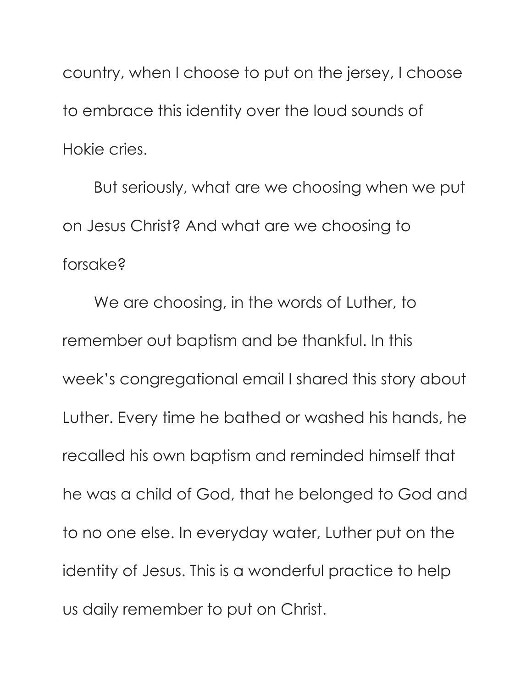country, when I choose to put on the jersey, I choose to embrace this identity over the loud sounds of Hokie cries.

But seriously, what are we choosing when we put on Jesus Christ? And what are we choosing to forsake?

We are choosing, in the words of Luther, to remember out baptism and be thankful. In this week's congregational email I shared this story about Luther. Every time he bathed or washed his hands, he recalled his own baptism and reminded himself that he was a child of God, that he belonged to God and to no one else. In everyday water, Luther put on the identity of Jesus. This is a wonderful practice to help us daily remember to put on Christ.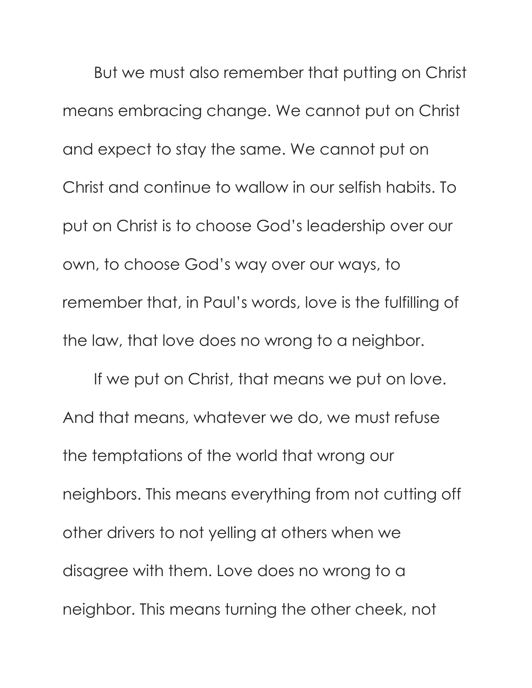But we must also remember that putting on Christ means embracing change. We cannot put on Christ and expect to stay the same. We cannot put on Christ and continue to wallow in our selfish habits. To put on Christ is to choose God's leadership over our own, to choose God's way over our ways, to remember that, in Paul's words, love is the fulfilling of the law, that love does no wrong to a neighbor.

If we put on Christ, that means we put on love. And that means, whatever we do, we must refuse the temptations of the world that wrong our neighbors. This means everything from not cutting off other drivers to not yelling at others when we disagree with them. Love does no wrong to a neighbor. This means turning the other cheek, not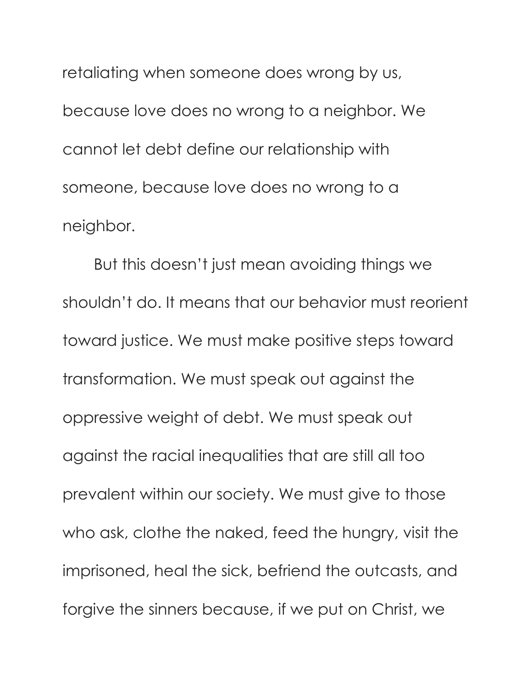retaliating when someone does wrong by us, because love does no wrong to a neighbor. We cannot let debt define our relationship with someone, because love does no wrong to a neighbor.

But this doesn't just mean avoiding things we shouldn't do. It means that our behavior must reorient toward justice. We must make positive steps toward transformation. We must speak out against the oppressive weight of debt. We must speak out against the racial inequalities that are still all too prevalent within our society. We must give to those who ask, clothe the naked, feed the hungry, visit the imprisoned, heal the sick, befriend the outcasts, and forgive the sinners because, if we put on Christ, we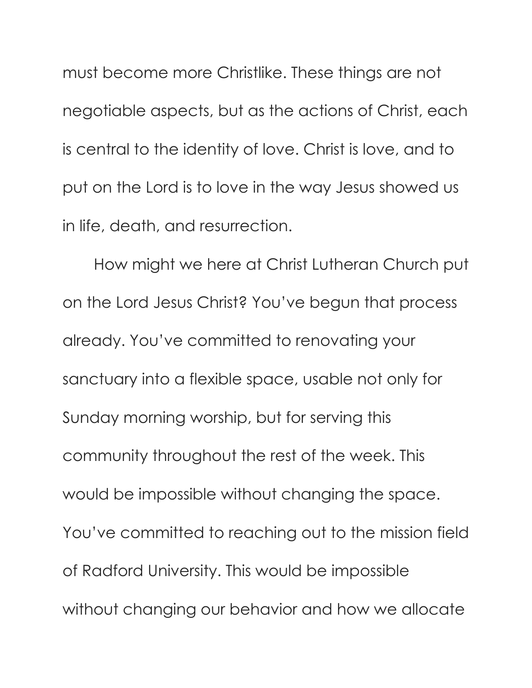must become more Christlike. These things are not negotiable aspects, but as the actions of Christ, each is central to the identity of love. Christ is love, and to put on the Lord is to love in the way Jesus showed us in life, death, and resurrection.

How might we here at Christ Lutheran Church put on the Lord Jesus Christ? You've begun that process already. You've committed to renovating your sanctuary into a flexible space, usable not only for Sunday morning worship, but for serving this community throughout the rest of the week. This would be impossible without changing the space. You've committed to reaching out to the mission field of Radford University. This would be impossible without changing our behavior and how we allocate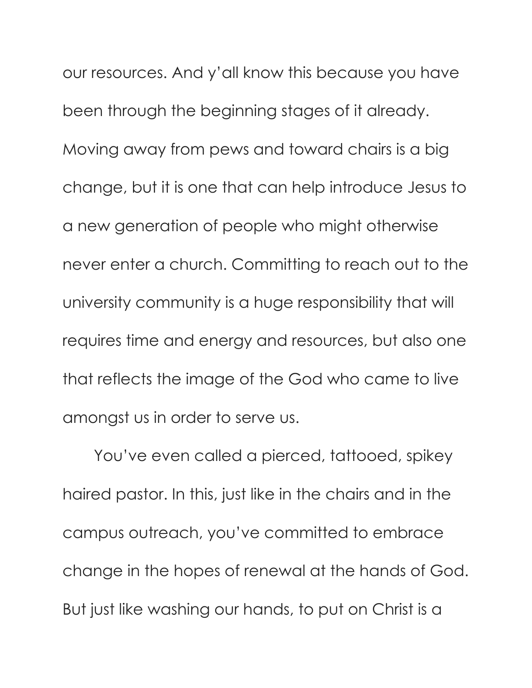our resources. And y'all know this because you have been through the beginning stages of it already. Moving away from pews and toward chairs is a big change, but it is one that can help introduce Jesus to a new generation of people who might otherwise never enter a church. Committing to reach out to the university community is a huge responsibility that will requires time and energy and resources, but also one that reflects the image of the God who came to live amongst us in order to serve us.

You've even called a pierced, tattooed, spikey haired pastor. In this, just like in the chairs and in the campus outreach, you've committed to embrace change in the hopes of renewal at the hands of God. But just like washing our hands, to put on Christ is a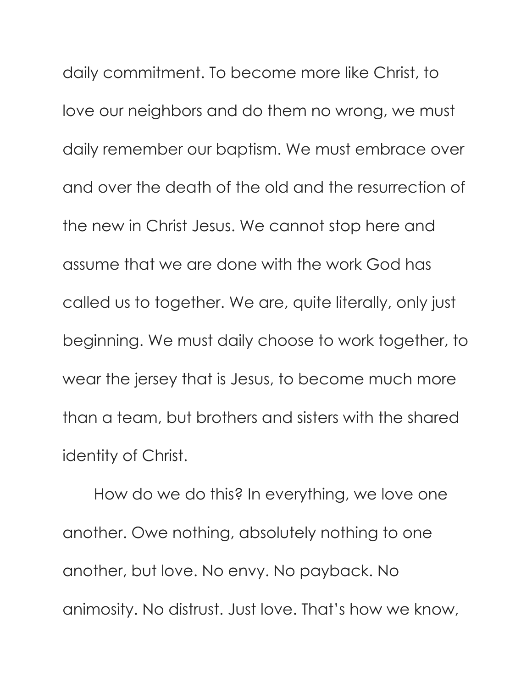daily commitment. To become more like Christ, to love our neighbors and do them no wrong, we must daily remember our baptism. We must embrace over and over the death of the old and the resurrection of the new in Christ Jesus. We cannot stop here and assume that we are done with the work God has called us to together. We are, quite literally, only just beginning. We must daily choose to work together, to wear the jersey that is Jesus, to become much more than a team, but brothers and sisters with the shared identity of Christ.

How do we do this? In everything, we love one another. Owe nothing, absolutely nothing to one another, but love. No envy. No payback. No animosity. No distrust. Just love. That's how we know,